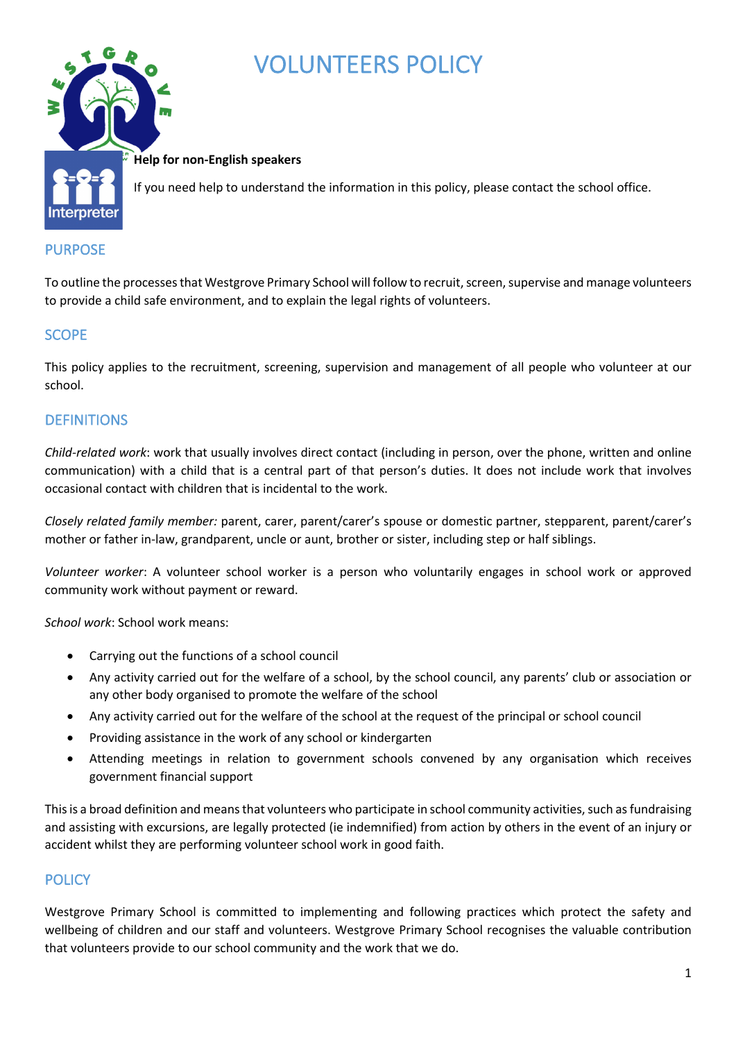

# VOLUNTEERS POLICY

#### **Help for non-English speakers**

If you need help to understand the information in this policy, please contact the school office.

## PURPOSE

To outline the processes that Westgrove Primary School will follow to recruit, screen, supervise and manage volunteers to provide a child safe environment, and to explain the legal rights of volunteers.

## **SCOPE**

This policy applies to the recruitment, screening, supervision and management of all people who volunteer at our school.

## **DEFINITIONS**

*Child-related work*: work that usually involves direct contact (including in person, over the phone, written and online communication) with a child that is a central part of that person's duties. It does not include work that involves occasional contact with children that is incidental to the work.

*Closely related family member:* parent, carer, parent/carer's spouse or domestic partner, stepparent, parent/carer's mother or father in-law, grandparent, uncle or aunt, brother or sister, including step or half siblings.

*Volunteer worker*: A volunteer school worker is a person who voluntarily engages in school work or approved community work without payment or reward.

*School work*: School work means:

- Carrying out the functions of a school council
- Any activity carried out for the welfare of a school, by the school council, any parents' club or association or any other body organised to promote the welfare of the school
- Any activity carried out for the welfare of the school at the request of the principal or school council
- Providing assistance in the work of any school or kindergarten
- Attending meetings in relation to government schools convened by any organisation which receives government financial support

This is a broad definition and means that volunteers who participate in school community activities, such as fundraising and assisting with excursions, are legally protected (ie indemnified) from action by others in the event of an injury or accident whilst they are performing volunteer school work in good faith.

## **POLICY**

Westgrove Primary School is committed to implementing and following practices which protect the safety and wellbeing of children and our staff and volunteers. Westgrove Primary School recognises the valuable contribution that volunteers provide to our school community and the work that we do.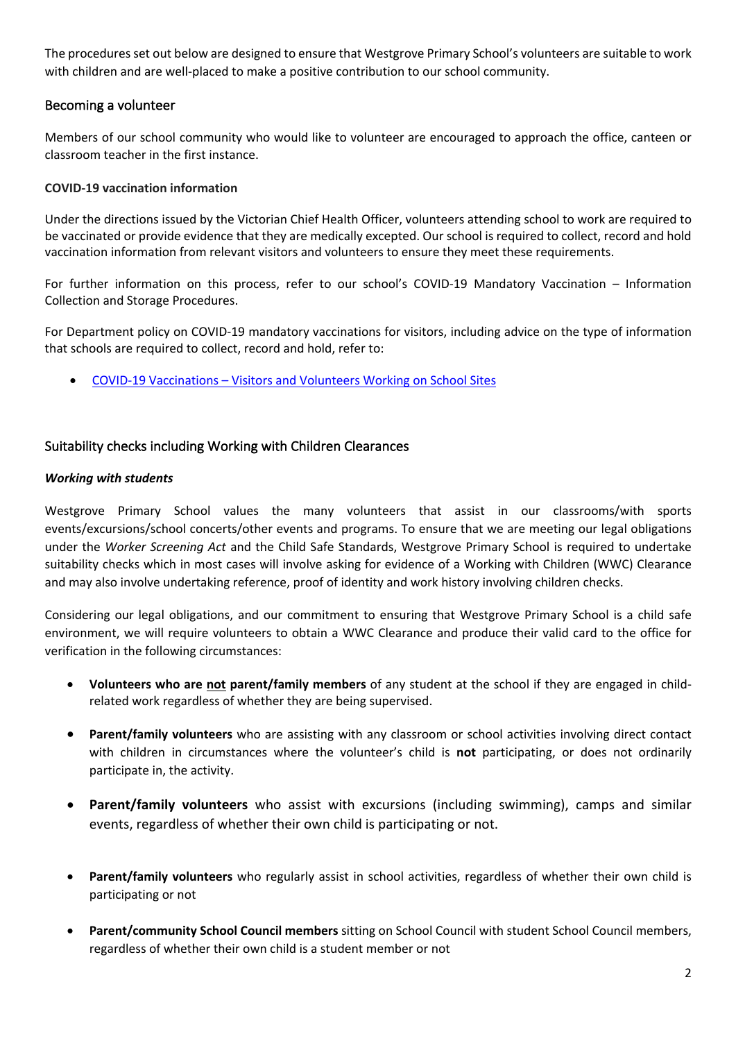The procedures set out below are designed to ensure that Westgrove Primary School's volunteers are suitable to work with children and are well-placed to make a positive contribution to our school community.

## Becoming a volunteer

Members of our school community who would like to volunteer are encouraged to approach the office, canteen or classroom teacher in the first instance.

#### **COVID-19 vaccination information**

Under the directions issued by the Victorian Chief Health Officer, volunteers attending school to work are required to be vaccinated or provide evidence that they are medically excepted. Our school is required to collect, record and hold vaccination information from relevant visitors and volunteers to ensure they meet these requirements.

For further information on this process, refer to our school's COVID-19 Mandatory Vaccination – Information Collection and Storage Procedures.

For Department policy on COVID-19 mandatory vaccinations for visitors, including advice on the type of information that schools are required to collect, record and hold, refer to:

• COVID-19 Vaccinations – Visitors and Volunteers Working on School Sites

#### Suitability checks including Working with Children Clearances

#### *Working with students*

Westgrove Primary School values the many volunteers that assist in our classrooms/with sports events/excursions/school concerts/other events and programs. To ensure that we are meeting our legal obligations under the *Worker Screening Act* and the Child Safe Standards, Westgrove Primary School is required to undertake suitability checks which in most cases will involve asking for evidence of a Working with Children (WWC) Clearance and may also involve undertaking reference, proof of identity and work history involving children checks.

Considering our legal obligations, and our commitment to ensuring that Westgrove Primary School is a child safe environment, we will require volunteers to obtain a WWC Clearance and produce their valid card to the office for verification in the following circumstances:

- **Volunteers who are not parent/family members** of any student at the school if they are engaged in childrelated work regardless of whether they are being supervised.
- **Parent/family volunteers** who are assisting with any classroom or school activities involving direct contact with children in circumstances where the volunteer's child is **not** participating, or does not ordinarily participate in, the activity.
- **Parent/family volunteers** who assist with excursions (including swimming), camps and similar events, regardless of whether their own child is participating or not.
- **Parent/family volunteers** who regularly assist in school activities, regardless of whether their own child is participating or not
- **Parent/community School Council members** sitting on School Council with student School Council members, regardless of whether their own child is a student member or not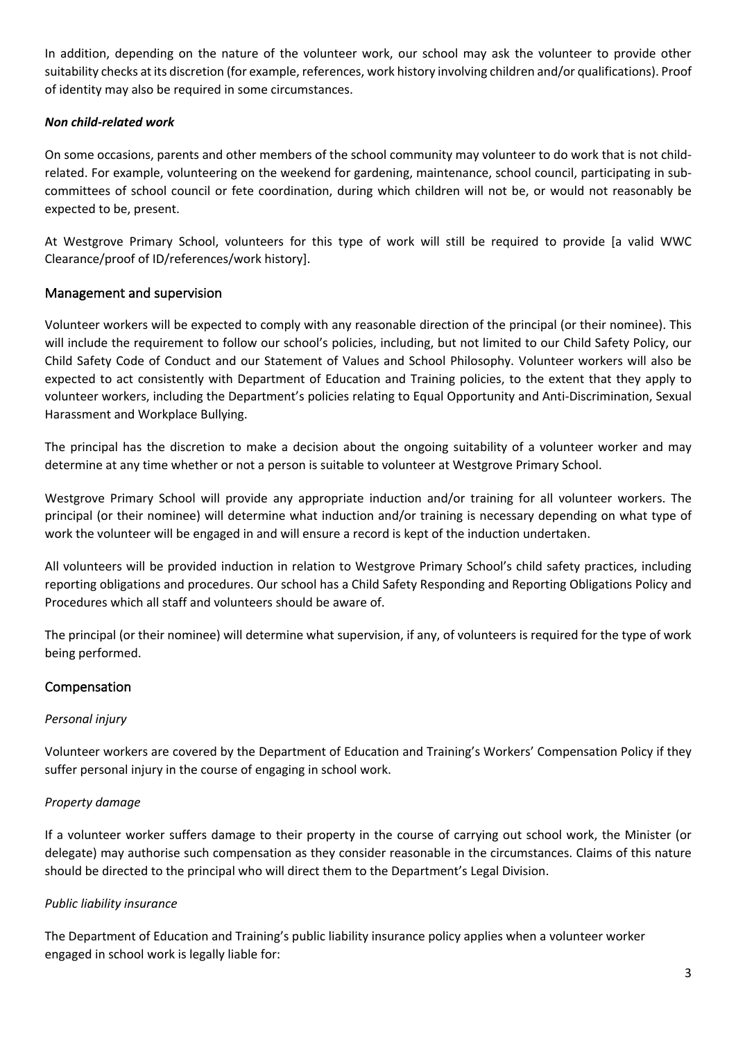In addition, depending on the nature of the volunteer work, our school may ask the volunteer to provide other suitability checks at its discretion (for example, references, work history involving children and/or qualifications). Proof of identity may also be required in some circumstances.

#### *Non child-related work*

On some occasions, parents and other members of the school community may volunteer to do work that is not childrelated. For example, volunteering on the weekend for gardening, maintenance, school council, participating in subcommittees of school council or fete coordination, during which children will not be, or would not reasonably be expected to be, present.

At Westgrove Primary School, volunteers for this type of work will still be required to provide [a valid WWC Clearance/proof of ID/references/work history].

## Management and supervision

Volunteer workers will be expected to comply with any reasonable direction of the principal (or their nominee). This will include the requirement to follow our school's policies, including, but not limited to our Child Safety Policy, our Child Safety Code of Conduct and our Statement of Values and School Philosophy. Volunteer workers will also be expected to act consistently with Department of Education and Training policies, to the extent that they apply to volunteer workers, including the Department's policies relating to Equal Opportunity and Anti-Discrimination, Sexual Harassment and Workplace Bullying.

The principal has the discretion to make a decision about the ongoing suitability of a volunteer worker and may determine at any time whether or not a person is suitable to volunteer at Westgrove Primary School.

Westgrove Primary School will provide any appropriate induction and/or training for all volunteer workers. The principal (or their nominee) will determine what induction and/or training is necessary depending on what type of work the volunteer will be engaged in and will ensure a record is kept of the induction undertaken.

All volunteers will be provided induction in relation to Westgrove Primary School's child safety practices, including reporting obligations and procedures. Our school has a Child Safety Responding and Reporting Obligations Policy and Procedures which all staff and volunteers should be aware of.

The principal (or their nominee) will determine what supervision, if any, of volunteers is required for the type of work being performed.

## Compensation

#### *Personal injury*

Volunteer workers are covered by the Department of Education and Training's Workers' Compensation Policy if they suffer personal injury in the course of engaging in school work.

#### *Property damage*

If a volunteer worker suffers damage to their property in the course of carrying out school work, the Minister (or delegate) may authorise such compensation as they consider reasonable in the circumstances. Claims of this nature should be directed to the principal who will direct them to the Department's Legal Division.

#### *Public liability insurance*

The Department of Education and Training's public liability insurance policy applies when a volunteer worker engaged in school work is legally liable for: